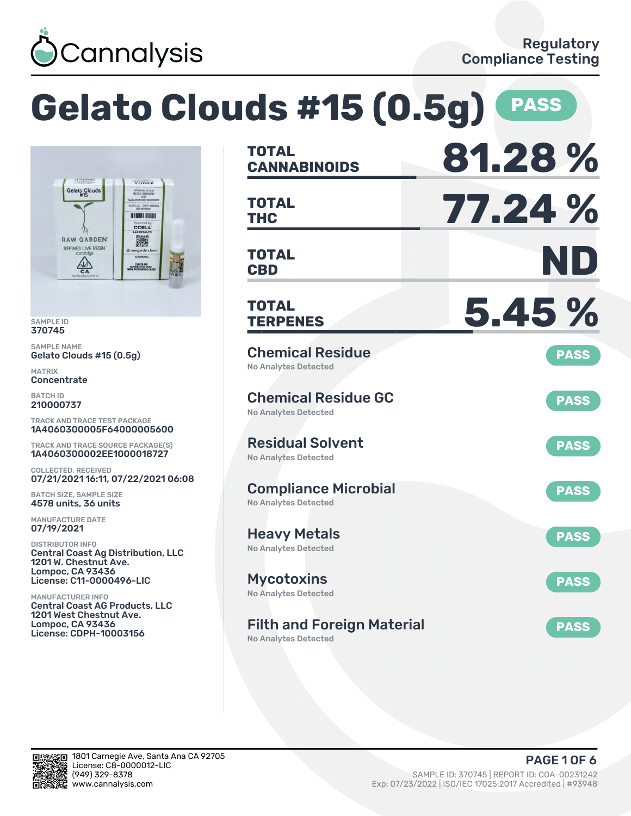

#### **Gelato Clouds #15 (0.5g) PASS CANNABINOIDS 81.28 % TOTAL** Gelato Clouds MFG/PHG 07.19.21<br>BATCH 210000727 **THC 77.24 % TOTAL** CAP.LLC - COPH-100 **HENRI HENR CCELL RAW GARDEN** 濑 REFINED LIVE RES **CBD ND TOTAL**  $\overset{\triangle}{\Longleftrightarrow}$ CANCERAND<br>AEPRODUCTIVE HA **TERPENES 5.45 % TOTAL** Chemical Residue **PASS** Gelato Clouds #15 (0.5g) No Analytes Detected Chemical Residue GC **PASS** No Analytes Detected TRACK AND TRACE TEST PACKAGE 1A4060300005F64000005600 Residual Solvent TRACK AND TRACE SOURCE PACKAGE(S) **PASS** 1A4060300002EE1000018727 No Analytes Detected COLLECTED, RECEIVED 07/21/2021 16:11, 07/22/2021 06:08 Compliance Microbial **PASS** BATCH SIZE, SAMPLE SIZE No Analytes Detected 4578 units, 36 units MANUFACTURE DATE Heavy Metals **PASS** DISTRIBUTOR INFO No Analytes Detected Central Coast Ag Distribution, LLC 1201 W. Chestnut Ave. Lompoc, CA 93436 License: C11-0000496-LIC Mycotoxins **PASS** No Analytes Detected MANUFACTURER INFO Central Coast AG Products, LLC 1201 West Chestnut Ave. Lompoc, CA 93436 Filth and Foreign Material **PASS** License: CDPH-10003156 No Analytes Detected



SAMPLE ID 370745 SAMPLE NAME

MATRIX **Concentrate** BATCH ID 210000737

07/19/2021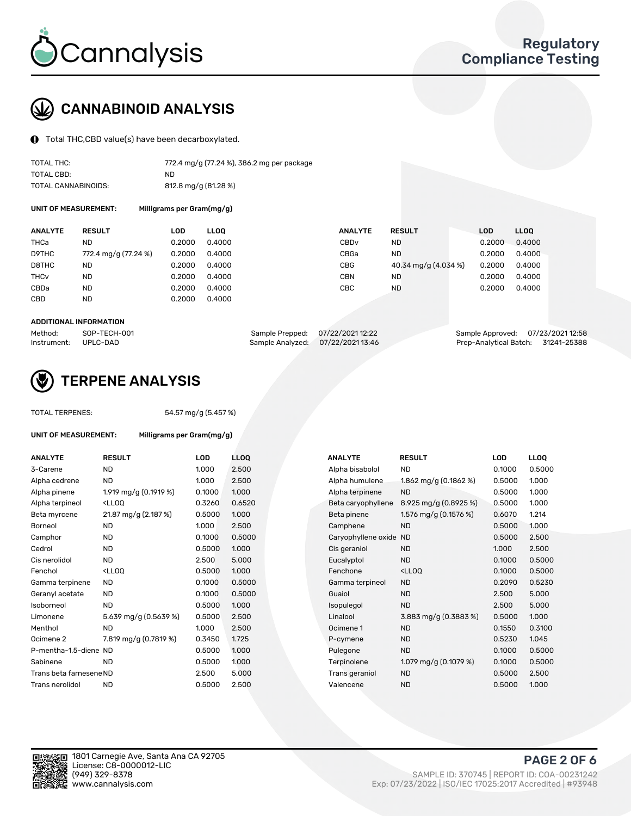

# CANNABINOID ANALYSIS

Total THC,CBD value(s) have been decarboxylated.

| TOTAL THC:          | 772.4 mg/g (77.24 %), 386.2 mg per package |
|---------------------|--------------------------------------------|
| TOTAL CBD:          | ND.                                        |
| TOTAL CANNABINOIDS: | 812.8 mg/g (81.28 %)                       |

UNIT OF MEASUREMENT: Milligrams per Gram(mg/g)

| <b>ANALYTE</b>         | <b>RESULT</b>        | LOD    | <b>LLOO</b> | <b>ANALYTE</b>   | <b>RESULT</b>        | <b>LOD</b> | LL <sub>00</sub> |
|------------------------|----------------------|--------|-------------|------------------|----------------------|------------|------------------|
| THCa                   | ND                   | 0.2000 | 0.4000      | CBD <sub>v</sub> | <b>ND</b>            | 0.2000     | 0.4000           |
| D9THC                  | 772.4 mg/g (77.24 %) | 0.2000 | 0.4000      | CBGa             | <b>ND</b>            | 0.2000     | 0.4000           |
| D8THC                  | ND                   | 0.2000 | 0.4000      | CBG              | 40.34 mg/g (4.034 %) | 0.2000     | 0.4000           |
| <b>THC<sub>v</sub></b> | <b>ND</b>            | 0.2000 | 0.4000      | CBN              | <b>ND</b>            | 0.2000     | 0.4000           |
| CBDa                   | <b>ND</b>            | 0.2000 | 0.4000      | CBC.             | <b>ND</b>            | 0.2000     | 0.4000           |
| CBD                    | <b>ND</b>            | 0.2000 | 0.4000      |                  |                      |            |                  |
|                        |                      |        |             |                  |                      |            |                  |

#### ADDITIONAL INFORMATION

| Method:              | SOP-TECH-001 |                                   | Sample Prepped: 07/22/2021 12:22 | Sample Approved: 07/23/202112:58   |  |
|----------------------|--------------|-----------------------------------|----------------------------------|------------------------------------|--|
| Instrument: UPLC-DAD |              | Sample Analyzed: 07/22/2021 13:46 |                                  | Prep-Analytical Batch: 31241-25388 |  |



### TERPENE ANALYSIS

TOTAL TERPENES: 54.57 mg/g (5.457 %)

| <b>UNIT OF MEASUREMENT:</b> |                                                        | Milligrams per Gram(mg/g) |        |   |  |  |  |  |
|-----------------------------|--------------------------------------------------------|---------------------------|--------|---|--|--|--|--|
| <b>ANALYTE</b>              | <b>RESULT</b>                                          |                           | LOD    |   |  |  |  |  |
| 3-Carene                    | ND                                                     |                           | 1.000  |   |  |  |  |  |
| Alpha cedrene               | ND                                                     |                           | 1.000  |   |  |  |  |  |
| Alpha pinene                |                                                        | 1.919 mg/g (0.1919 %)     | 0.1000 | ٠ |  |  |  |  |
| Alpha terpineol             | <ll00< td=""><td></td><td>0.3260</td><td></td></ll00<> |                           | 0.3260 |   |  |  |  |  |
|                             |                                                        |                           |        |   |  |  |  |  |

| Alpha cedrene           | <b>ND</b>                                                                                                                                                         | 1.000  | 2.500  | Alpha humulene         | 1.862 mg/g $(0.1862 \%)$                           | 0.5000 | 1.000 |
|-------------------------|-------------------------------------------------------------------------------------------------------------------------------------------------------------------|--------|--------|------------------------|----------------------------------------------------|--------|-------|
| Alpha pinene            | 1.919 mg/g (0.1919 %)                                                                                                                                             | 0.1000 | 1.000  | Alpha terpinene        | <b>ND</b>                                          | 0.5000 | 1.000 |
| Alpha terpineol         | <lloq< td=""><td>0.3260</td><td>0.6520</td><td>Beta caryophyllene</td><td><math>8.925 \,\mathrm{mg/g}</math> (0.8925 %)</td><td>0.5000</td><td>1.000</td></lloq<> | 0.3260 | 0.6520 | Beta caryophyllene     | $8.925 \,\mathrm{mg/g}$ (0.8925 %)                 | 0.5000 | 1.000 |
| Beta myrcene            | 21.87 mg/g (2.187 %)                                                                                                                                              | 0.5000 | 1.000  | Beta pinene            | 1.576 mg/g (0.1576 %)                              | 0.6070 | 1.214 |
| Borneol                 | <b>ND</b>                                                                                                                                                         | 1.000  | 2.500  | Camphene               | <b>ND</b>                                          | 0.5000 | 1.000 |
| Camphor                 | <b>ND</b>                                                                                                                                                         | 0.1000 | 0.5000 | Caryophyllene oxide ND |                                                    | 0.5000 | 2.500 |
| Cedrol                  | <b>ND</b>                                                                                                                                                         | 0.5000 | 1.000  | Cis geraniol           | <b>ND</b>                                          | 1.000  | 2.500 |
| Cis nerolidol           | <b>ND</b>                                                                                                                                                         | 2.500  | 5.000  | Eucalyptol             | <b>ND</b>                                          | 0.1000 | 0.500 |
| Fenchol                 | <lloq< td=""><td>0.5000</td><td>1.000</td><td>Fenchone</td><td><lloq< td=""><td>0.1000</td><td>0.500</td></lloq<></td></lloq<>                                    | 0.5000 | 1.000  | Fenchone               | <lloq< td=""><td>0.1000</td><td>0.500</td></lloq<> | 0.1000 | 0.500 |
| Gamma terpinene         | ND.                                                                                                                                                               | 0.1000 | 0.5000 | Gamma terpineol        | <b>ND</b>                                          | 0.2090 | 0.523 |
| Geranyl acetate         | ND.                                                                                                                                                               | 0.1000 | 0.5000 | Guaiol                 | <b>ND</b>                                          | 2.500  | 5.000 |
| Isoborneol              | <b>ND</b>                                                                                                                                                         | 0.5000 | 1.000  | Isopulegol             | <b>ND</b>                                          | 2.500  | 5.000 |
| Limonene                | 5.639 mg/g (0.5639 %)                                                                                                                                             | 0.5000 | 2.500  | Linalool               | 3.883 mg/g (0.3883 %)                              | 0.5000 | 1.000 |
| Menthol                 | ND                                                                                                                                                                | 1.000  | 2.500  | Ocimene 1              | <b>ND</b>                                          | 0.1550 | 0.310 |
| Ocimene 2               | 7.819 mg/g (0.7819 %)                                                                                                                                             | 0.3450 | 1.725  | P-cymene               | <b>ND</b>                                          | 0.5230 | 1.045 |
| P-mentha-1,5-diene ND   |                                                                                                                                                                   | 0.5000 | 1.000  | Pulegone               | <b>ND</b>                                          | 0.1000 | 0.500 |
| Sabinene                | <b>ND</b>                                                                                                                                                         | 0.5000 | 1.000  | Terpinolene            | 1.079 mg/g $(0.1079\%)$                            | 0.1000 | 0.500 |
| Trans beta farnesene ND |                                                                                                                                                                   | 2.500  | 5.000  | Trans geraniol         | <b>ND</b>                                          | 0.5000 | 2.500 |
| Trans nerolidol         | <b>ND</b>                                                                                                                                                         | 0.5000 | 2.500  | Valencene              | <b>ND</b>                                          | 0.5000 | 1.000 |

| <b>ANALYTE</b>          | <b>RESULT</b>                                                                                                                                                     | LOD    | <b>LLOQ</b> | <b>ANALYTE</b>      | <b>RESULT</b>                                       | <b>LOD</b> | <b>LLOQ</b> |
|-------------------------|-------------------------------------------------------------------------------------------------------------------------------------------------------------------|--------|-------------|---------------------|-----------------------------------------------------|------------|-------------|
| 3-Carene                | <b>ND</b>                                                                                                                                                         | 1.000  | 2.500       | Alpha bisabolol     | ND.                                                 | 0.1000     | 0.5000      |
| Alpha cedrene           | <b>ND</b>                                                                                                                                                         | 1.000  | 2.500       | Alpha humulene      | 1.862 mg/g (0.1862 %)                               | 0.5000     | 1.000       |
| Alpha pinene            | 1.919 mg/g (0.1919 %)                                                                                                                                             | 0.1000 | 1.000       | Alpha terpinene     | <b>ND</b>                                           | 0.5000     | 1.000       |
| Alpha terpineol         | <lloq< td=""><td>0.3260</td><td>0.6520</td><td>Beta caryophyllene</td><td><math>8.925 \,\mathrm{mg/g}</math> (0.8925 %)</td><td>0.5000</td><td>1.000</td></lloq<> | 0.3260 | 0.6520      | Beta caryophyllene  | $8.925 \,\mathrm{mg/g}$ (0.8925 %)                  | 0.5000     | 1.000       |
| Beta myrcene            | 21.87 mg/g (2.187 %)                                                                                                                                              | 0.5000 | 1.000       | Beta pinene         | 1.576 mg/g (0.1576 %)                               | 0.6070     | 1.214       |
| Borneol                 | <b>ND</b>                                                                                                                                                         | 1.000  | 2.500       | Camphene            | <b>ND</b>                                           | 0.5000     | 1.000       |
| Camphor                 | ND                                                                                                                                                                | 0.1000 | 0.5000      | Caryophyllene oxide | <b>ND</b>                                           | 0.5000     | 2.500       |
| Cedrol                  | <b>ND</b>                                                                                                                                                         | 0.5000 | 1.000       | Cis geraniol        | <b>ND</b>                                           | 1.000      | 2.500       |
| Cis nerolidol           | <b>ND</b>                                                                                                                                                         | 2.500  | 5.000       | Eucalyptol          | <b>ND</b>                                           | 0.1000     | 0.5000      |
| Fenchol                 | <lloq< td=""><td>0.5000</td><td>1.000</td><td>Fenchone</td><td><ll0q< td=""><td>0.1000</td><td>0.5000</td></ll0q<></td></lloq<>                                   | 0.5000 | 1.000       | Fenchone            | <ll0q< td=""><td>0.1000</td><td>0.5000</td></ll0q<> | 0.1000     | 0.5000      |
| Gamma terpinene         | <b>ND</b>                                                                                                                                                         | 0.1000 | 0.5000      | Gamma terpineol     | <b>ND</b>                                           | 0.2090     | 0.5230      |
| Geranyl acetate         | ND                                                                                                                                                                | 0.1000 | 0.5000      | Guaiol              | <b>ND</b>                                           | 2.500      | 5.000       |
| Isoborneol              | <b>ND</b>                                                                                                                                                         | 0.5000 | 1.000       | Isopulegol          | <b>ND</b>                                           | 2.500      | 5.000       |
| Limonene                | 5.639 mg/g (0.5639 %)                                                                                                                                             | 0.5000 | 2.500       | Linalool            | 3.883 mg/g (0.3883 %)                               | 0.5000     | 1.000       |
| Menthol                 | <b>ND</b>                                                                                                                                                         | 1.000  | 2.500       | Ocimene 1           | <b>ND</b>                                           | 0.1550     | 0.3100      |
| Ocimene 2               | 7.819 mg/g (0.7819 %)                                                                                                                                             | 0.3450 | 1.725       | P-cymene            | <b>ND</b>                                           | 0.5230     | 1.045       |
| P-mentha-1,5-diene ND   |                                                                                                                                                                   | 0.5000 | 1.000       | Pulegone            | <b>ND</b>                                           | 0.1000     | 0.5000      |
| Sabinene                | <b>ND</b>                                                                                                                                                         | 0.5000 | 1.000       | Terpinolene         | 1.079 mg/g $(0.1079\%)$                             | 0.1000     | 0.5000      |
| Trans beta farnesene ND |                                                                                                                                                                   | 2.500  | 5.000       | Trans geraniol      | <b>ND</b>                                           | 0.5000     | 2.500       |
| Trans nerolidol         | <b>ND</b>                                                                                                                                                         | 0.5000 | 2.500       | Valencene           | <b>ND</b>                                           | 0.5000     | 1.000       |



PAGE 2 OF 6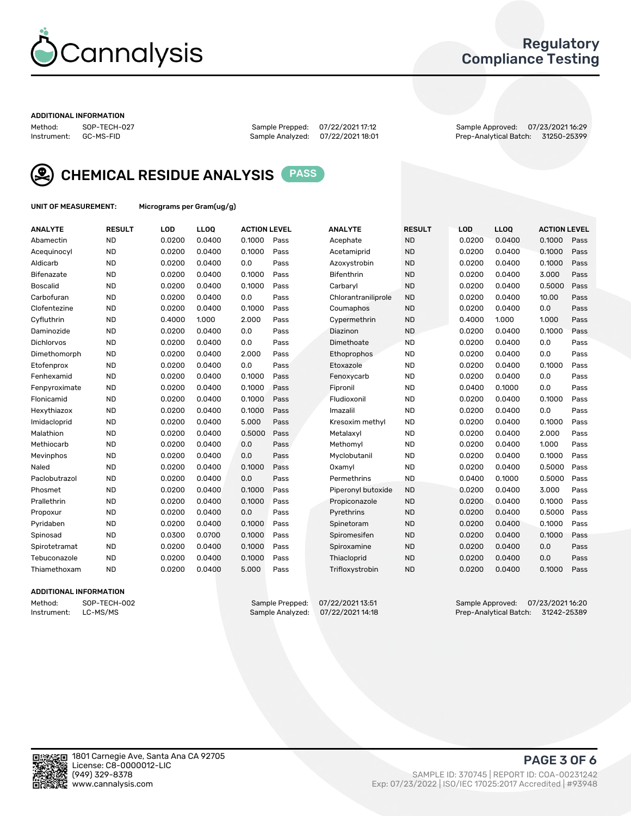

### Regulatory Compliance Testing

#### ADDITIONAL INFORMATION

Method: SOP-TECH-027 Sample Prepped: 07/22/2021 17:12 Sample Approved: 07/23/2021 16:29 Prep-Analytical Batch: 31250-25399



CHEMICAL RESIDUE ANALYSIS PASS

UNIT OF MEASUREMENT: Micrograms per Gram(ug/g)

| <b>ANALYTE</b>    | <b>RESULT</b> | LOD    | <b>LLOQ</b> | <b>ACTION LEVEL</b> |      | <b>ANALYTE</b>      | <b>RESULT</b> | LOD    | <b>LLOQ</b> | <b>ACTION LEVEL</b> |      |
|-------------------|---------------|--------|-------------|---------------------|------|---------------------|---------------|--------|-------------|---------------------|------|
| Abamectin         | <b>ND</b>     | 0.0200 | 0.0400      | 0.1000              | Pass | Acephate            | <b>ND</b>     | 0.0200 | 0.0400      | 0.1000              | Pass |
| Acequinocyl       | <b>ND</b>     | 0.0200 | 0.0400      | 0.1000              | Pass | Acetamiprid         | <b>ND</b>     | 0.0200 | 0.0400      | 0.1000              | Pass |
| Aldicarb          | <b>ND</b>     | 0.0200 | 0.0400      | 0.0                 | Pass | Azoxystrobin        | <b>ND</b>     | 0.0200 | 0.0400      | 0.1000              | Pass |
| Bifenazate        | <b>ND</b>     | 0.0200 | 0.0400      | 0.1000              | Pass | <b>Bifenthrin</b>   | <b>ND</b>     | 0.0200 | 0.0400      | 3.000               | Pass |
| <b>Boscalid</b>   | <b>ND</b>     | 0.0200 | 0.0400      | 0.1000              | Pass | Carbarvl            | <b>ND</b>     | 0.0200 | 0.0400      | 0.5000              | Pass |
| Carbofuran        | <b>ND</b>     | 0.0200 | 0.0400      | 0.0                 | Pass | Chlorantraniliprole | <b>ND</b>     | 0.0200 | 0.0400      | 10.00               | Pass |
| Clofentezine      | <b>ND</b>     | 0.0200 | 0.0400      | 0.1000              | Pass | Coumaphos           | <b>ND</b>     | 0.0200 | 0.0400      | 0.0                 | Pass |
| Cyfluthrin        | <b>ND</b>     | 0.4000 | 1.000       | 2.000               | Pass | Cypermethrin        | <b>ND</b>     | 0.4000 | 1.000       | 1.000               | Pass |
| Daminozide        | <b>ND</b>     | 0.0200 | 0.0400      | 0.0                 | Pass | Diazinon            | <b>ND</b>     | 0.0200 | 0.0400      | 0.1000              | Pass |
| <b>Dichlorvos</b> | <b>ND</b>     | 0.0200 | 0.0400      | 0.0                 | Pass | Dimethoate          | <b>ND</b>     | 0.0200 | 0.0400      | 0.0                 | Pass |
| Dimethomorph      | <b>ND</b>     | 0.0200 | 0.0400      | 2.000               | Pass | <b>Ethoprophos</b>  | <b>ND</b>     | 0.0200 | 0.0400      | 0.0                 | Pass |
| Etofenprox        | <b>ND</b>     | 0.0200 | 0.0400      | 0.0                 | Pass | Etoxazole           | <b>ND</b>     | 0.0200 | 0.0400      | 0.1000              | Pass |
| Fenhexamid        | <b>ND</b>     | 0.0200 | 0.0400      | 0.1000              | Pass | Fenoxycarb          | <b>ND</b>     | 0.0200 | 0.0400      | 0.0                 | Pass |
| Fenpyroximate     | <b>ND</b>     | 0.0200 | 0.0400      | 0.1000              | Pass | Fipronil            | <b>ND</b>     | 0.0400 | 0.1000      | 0.0                 | Pass |
| Flonicamid        | <b>ND</b>     | 0.0200 | 0.0400      | 0.1000              | Pass | Fludioxonil         | <b>ND</b>     | 0.0200 | 0.0400      | 0.1000              | Pass |
| Hexythiazox       | <b>ND</b>     | 0.0200 | 0.0400      | 0.1000              | Pass | Imazalil            | <b>ND</b>     | 0.0200 | 0.0400      | 0.0                 | Pass |
| Imidacloprid      | <b>ND</b>     | 0.0200 | 0.0400      | 5.000               | Pass | Kresoxim methyl     | <b>ND</b>     | 0.0200 | 0.0400      | 0.1000              | Pass |
| Malathion         | <b>ND</b>     | 0.0200 | 0.0400      | 0.5000              | Pass | Metalaxyl           | <b>ND</b>     | 0.0200 | 0.0400      | 2.000               | Pass |
| Methiocarb        | <b>ND</b>     | 0.0200 | 0.0400      | 0.0                 | Pass | Methomyl            | <b>ND</b>     | 0.0200 | 0.0400      | 1.000               | Pass |
| Mevinphos         | <b>ND</b>     | 0.0200 | 0.0400      | 0.0                 | Pass | Myclobutanil        | <b>ND</b>     | 0.0200 | 0.0400      | 0.1000              | Pass |
| Naled             | <b>ND</b>     | 0.0200 | 0.0400      | 0.1000              | Pass | Oxamyl              | <b>ND</b>     | 0.0200 | 0.0400      | 0.5000              | Pass |
| Paclobutrazol     | <b>ND</b>     | 0.0200 | 0.0400      | 0.0                 | Pass | Permethrins         | <b>ND</b>     | 0.0400 | 0.1000      | 0.5000              | Pass |
| Phosmet           | <b>ND</b>     | 0.0200 | 0.0400      | 0.1000              | Pass | Piperonyl butoxide  | <b>ND</b>     | 0.0200 | 0.0400      | 3.000               | Pass |
| Prallethrin       | <b>ND</b>     | 0.0200 | 0.0400      | 0.1000              | Pass | Propiconazole       | <b>ND</b>     | 0.0200 | 0.0400      | 0.1000              | Pass |
| Propoxur          | <b>ND</b>     | 0.0200 | 0.0400      | 0.0                 | Pass | Pyrethrins          | <b>ND</b>     | 0.0200 | 0.0400      | 0.5000              | Pass |
| Pyridaben         | <b>ND</b>     | 0.0200 | 0.0400      | 0.1000              | Pass | Spinetoram          | <b>ND</b>     | 0.0200 | 0.0400      | 0.1000              | Pass |
| Spinosad          | <b>ND</b>     | 0.0300 | 0.0700      | 0.1000              | Pass | Spiromesifen        | <b>ND</b>     | 0.0200 | 0.0400      | 0.1000              | Pass |
| Spirotetramat     | <b>ND</b>     | 0.0200 | 0.0400      | 0.1000              | Pass | Spiroxamine         | <b>ND</b>     | 0.0200 | 0.0400      | 0.0                 | Pass |
| Tebuconazole      | <b>ND</b>     | 0.0200 | 0.0400      | 0.1000              | Pass | Thiacloprid         | <b>ND</b>     | 0.0200 | 0.0400      | 0.0                 | Pass |
| Thiamethoxam      | <b>ND</b>     | 0.0200 | 0.0400      | 5.000               | Pass | Trifloxystrobin     | <b>ND</b>     | 0.0200 | 0.0400      | 0.1000              | Pass |

### ADDITIONAL INFORMATION

Method: SOP-TECH-002 Sample Prepped: 07/22/2021 13:51 Sample Approved: 07/23/2021 16:20<br>Instrument: LC-MS/MS Sample Analyzed: 07/22/2021 14:18 Prep-Analytical Batch: 31242-25389 Prep-Analytical Batch: 31242-25389

PAGE 3 OF 6

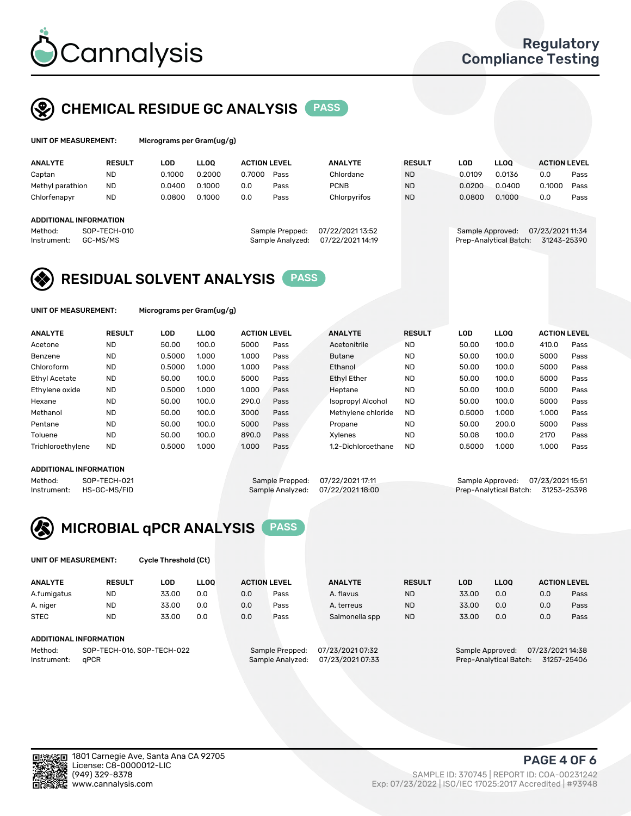

## CHEMICAL RESIDUE GC ANALYSIS PASS

| UNIT OF MEASUREMENT: | Micrograms per Gram(ug/g) |
|----------------------|---------------------------|
|                      |                           |

| Micrograms per Gram(ug/g) |  |
|---------------------------|--|
|---------------------------|--|

| <b>ANALYTE</b>         | <b>RESULT</b>            | LOD    | <b>LLOO</b> | <b>ACTION LEVEL</b> |                                     | <b>ANALYTE</b>                     | <b>RESULT</b> | LOD              | <b>LLOO</b>            | <b>ACTION LEVEL</b>             |      |
|------------------------|--------------------------|--------|-------------|---------------------|-------------------------------------|------------------------------------|---------------|------------------|------------------------|---------------------------------|------|
| Captan                 | <b>ND</b>                | 0.1000 | 0.2000      | 0.7000              | Pass                                | Chlordane                          | <b>ND</b>     | 0.0109           | 0.0136                 | 0.0                             | Pass |
| Methyl parathion       | <b>ND</b>                | 0.0400 | 0.1000      | 0.0                 | Pass                                | <b>PCNB</b>                        | <b>ND</b>     | 0.0200           | 0.0400                 | 0.1000                          | Pass |
| Chlorfenapyr           | <b>ND</b>                | 0.0800 | 0.1000      | 0.0                 | Pass                                | Chlorpyrifos                       | <b>ND</b>     | 0.0800           | 0.1000                 | 0.0                             | Pass |
|                        |                          |        |             |                     |                                     |                                    |               |                  |                        |                                 |      |
| ADDITIONAL INFORMATION |                          |        |             |                     |                                     |                                    |               |                  |                        |                                 |      |
| Method:<br>Instrument: | SOP-TECH-010<br>GC-MS/MS |        |             |                     | Sample Prepped:<br>Sample Analyzed: | 07/22/202113:52<br>07/22/202114:19 |               | Sample Approved: | Prep-Analytical Batch: | 07/23/2021 11:34<br>31243-25390 |      |

## RESIDUAL SOLVENT ANALYSIS PASS

UNIT OF MEASUREMENT: Micrograms per Gram(ug/g)

| <b>ANALYTE</b>       | <b>RESULT</b> | LOD    | <b>LLOO</b> | <b>ACTION LEVEL</b> |      | <b>ANALYTE</b>           | <b>RESULT</b> | LOD    | LLOO  | <b>ACTION LEVEL</b> |      |
|----------------------|---------------|--------|-------------|---------------------|------|--------------------------|---------------|--------|-------|---------------------|------|
| Acetone              | <b>ND</b>     | 50.00  | 100.0       | 5000                | Pass | Acetonitrile             | <b>ND</b>     | 50.00  | 100.0 | 410.0               | Pass |
| Benzene              | <b>ND</b>     | 0.5000 | 1.000       | 1.000               | Pass | <b>Butane</b>            | <b>ND</b>     | 50.00  | 100.0 | 5000                | Pass |
| Chloroform           | <b>ND</b>     | 0.5000 | 1.000       | 1.000               | Pass | Ethanol                  | <b>ND</b>     | 50.00  | 100.0 | 5000                | Pass |
| <b>Ethyl Acetate</b> | <b>ND</b>     | 50.00  | 100.0       | 5000                | Pass | <b>Ethyl Ether</b>       | <b>ND</b>     | 50.00  | 100.0 | 5000                | Pass |
| Ethylene oxide       | <b>ND</b>     | 0.5000 | 1.000       | 1.000               | Pass | Heptane                  | <b>ND</b>     | 50.00  | 100.0 | 5000                | Pass |
| Hexane               | <b>ND</b>     | 50.00  | 100.0       | 290.0               | Pass | <b>Isopropyl Alcohol</b> | <b>ND</b>     | 50.00  | 100.0 | 5000                | Pass |
| Methanol             | <b>ND</b>     | 50.00  | 100.0       | 3000                | Pass | Methylene chloride       | <b>ND</b>     | 0.5000 | 1.000 | 1.000               | Pass |
| Pentane              | <b>ND</b>     | 50.00  | 100.0       | 5000                | Pass | Propane                  | <b>ND</b>     | 50.00  | 200.0 | 5000                | Pass |
| Toluene              | <b>ND</b>     | 50.00  | 100.0       | 890.0               | Pass | Xvlenes                  | <b>ND</b>     | 50.08  | 100.0 | 2170                | Pass |
| Trichloroethylene    | <b>ND</b>     | 0.5000 | 1.000       | 1.000               | Pass | 1.2-Dichloroethane       | <b>ND</b>     | 0.5000 | 1.000 | 1.000               | Pass |

### ADDITIONAL INFORMATION

Method: SOP-TECH-021 Sample Prepped: 07/22/2021 17:11 Sample Approved: 07/23/2021 15:51<br>Instrument: HS-GC-MS/FID Sample Analyzed: 07/22/2021 18:00 Prep-Analytical Batch: 31253-25398 Prep-Analytical Batch: 31253-25398



UNIT OF MEASUREMENT: Cycle Threshold (Ct)

| <b>ANALYTE</b>                        | <b>RESULT</b>          | LOD   | <b>LLOO</b> |     | <b>ACTION LEVEL</b> | <b>ANALYTE</b>   | <b>RESULT</b> | LOD   | <b>LLOO</b>      |                  | <b>ACTION LEVEL</b> |
|---------------------------------------|------------------------|-------|-------------|-----|---------------------|------------------|---------------|-------|------------------|------------------|---------------------|
| A.fumigatus                           | <b>ND</b>              | 33.00 | 0.0         | 0.0 | Pass                | A. flavus        | <b>ND</b>     | 33.00 | 0.0              | 0.0              | Pass                |
| A. niger                              | <b>ND</b>              | 33.00 | 0.0         | 0.0 | Pass                | A. terreus       | <b>ND</b>     | 33.00 | 0.0              | 0.0              | Pass                |
| <b>STEC</b>                           | <b>ND</b>              | 33.00 | 0.0         | 0.0 | Pass                | Salmonella spp   | <b>ND</b>     | 33.00 | 0.0              | 0.0              | Pass                |
|                                       | ADDITIONAL INFORMATION |       |             |     |                     |                  |               |       |                  |                  |                     |
| SOP-TECH-016, SOP-TECH-022<br>Method: |                        |       |             |     | Sample Prepped:     | 07/23/2021 07:32 |               |       | Sample Approved: | 07/23/2021 14:38 |                     |

Instrument: qPCR Sample Analyzed: 07/23/2021 07:33 Prep-Analytical Batch: 31257-25406

PAGE 4 OF 6

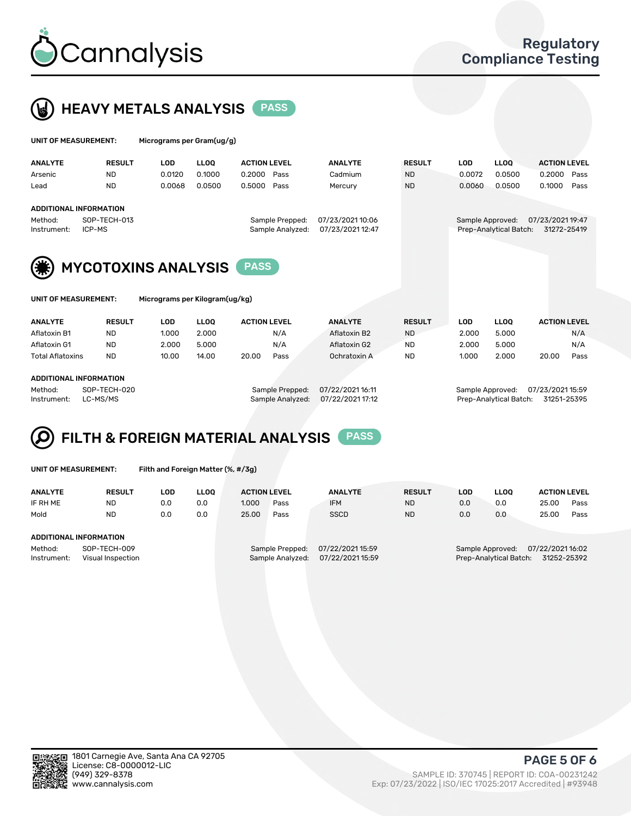



| UNIT OF MEASUREMENT: |                                | Micrograms per Gram(ug/g) |             |                     |                  |               |            |                        |                     |      |
|----------------------|--------------------------------|---------------------------|-------------|---------------------|------------------|---------------|------------|------------------------|---------------------|------|
| <b>ANALYTE</b>       | <b>RESULT</b>                  | <b>LOD</b>                | <b>LLOO</b> | <b>ACTION LEVEL</b> | <b>ANALYTE</b>   | <b>RESULT</b> | <b>LOD</b> | <b>LLOO</b>            | <b>ACTION LEVEL</b> |      |
| Arsenic              | <b>ND</b>                      | 0.0120                    | 0.1000      | 0.2000<br>Pass      | Cadmium          | <b>ND</b>     | 0.0072     | 0.0500                 | 0.2000              | Pass |
| Lead                 | <b>ND</b>                      | 0.0068                    | 0.0500      | 0.5000<br>Pass      | Mercury          | <b>ND</b>     | 0.0060     | 0.0500                 | 0.1000              | Pass |
|                      | <b>ADDITIONAL INFORMATION</b>  |                           |             |                     |                  |               |            |                        |                     |      |
| Method:              | SOP-TECH-013                   |                           |             | Sample Prepped:     | 07/23/2021 10:06 |               |            | Sample Approved:       | 07/23/2021 19:47    |      |
| Instrument:          | ICP-MS                         |                           |             | Sample Analyzed:    | 07/23/202112:47  |               |            | Prep-Analytical Batch: | 31272-25419         |      |
| نعد                  | <b>MUCOTOVINIC ANALIZATION</b> |                           |             | <b>DACC</b>         |                  |               |            |                        |                     |      |





MYCOTOXINS ANALYSIS PASS

| UNIT OF MEASUREMENT: |  |
|----------------------|--|
|----------------------|--|

Micrograms per Kilogram(ug/kg)

| <b>ANALYTE</b>          | <b>RESULT</b> | LOD   | <b>LLOO</b> | <b>ACTION LEVEL</b> |      | <b>ANALYTE</b> | <b>RESULT</b> | LOD   | <b>LLOO</b> | <b>ACTION LEVEL</b> |      |
|-------------------------|---------------|-------|-------------|---------------------|------|----------------|---------------|-------|-------------|---------------------|------|
| Aflatoxin B1            | <b>ND</b>     | 1.000 | 2.000       |                     | N/A  | Aflatoxin B2   | <b>ND</b>     | 2.000 | 5.000       |                     | N/A  |
| Aflatoxin G1            | <b>ND</b>     | 2.000 | 5.000       |                     | N/A  | Aflatoxin G2   | <b>ND</b>     | 2.000 | 5.000       |                     | N/A  |
| <b>Total Aflatoxins</b> | <b>ND</b>     | 10.00 | 14.00       | 20.00               | Pass | Ochratoxin A   | <b>ND</b>     | 1.000 | 2.000       | 20.00               | Pass |
|                         |               |       |             |                     |      |                |               |       |             |                     |      |

#### ADDITIONAL INFORMATION

Method: SOP-TECH-020 Sample Prepped: 07/22/2021 16:11 Sample Approved: 07/23/2021 15:59 Instrument: LC-MS/MS Sample Analyzed: 07/22/2021 17:12 Prep-Analytical Batch: 31251-25395

# FILTH & FOREIGN MATERIAL ANALYSIS PASS

UNIT OF MEASUREMENT: Filth and Foreign Matter (%, #/3g)

| <b>ANALYTE</b>                                              | <b>RESULT</b> | LOD | LLOO | <b>ACTION LEVEL</b> |                                     | <b>ANALYTE</b>                      | <b>RESULT</b>                                                              | LOD | <b>LLOO</b> | <b>ACTION LEVEL</b> |      |
|-------------------------------------------------------------|---------------|-----|------|---------------------|-------------------------------------|-------------------------------------|----------------------------------------------------------------------------|-----|-------------|---------------------|------|
| IF RH ME                                                    | <b>ND</b>     | 0.0 | 0.0  | 1.000               | Pass                                | <b>IFM</b>                          | <b>ND</b>                                                                  | 0.0 | 0.0         | 25.00               | Pass |
| Mold                                                        | <b>ND</b>     | 0.0 | 0.0  | 25.00               | Pass                                | <b>SSCD</b>                         | <b>ND</b>                                                                  | 0.0 | 0.0         | 25.00               | Pass |
| ADDITIONAL INFORMATION                                      |               |     |      |                     |                                     |                                     |                                                                            |     |             |                     |      |
| Method:<br>SOP-TECH-009<br>Instrument:<br>Visual Inspection |               |     |      |                     | Sample Prepped:<br>Sample Analyzed: | 07/22/2021 15:59<br>07/22/202115:59 | Sample Approved: 07/22/2021 16:02<br>Prep-Analytical Batch:<br>31252-25392 |     |             |                     |      |



PAGE 5 OF 6